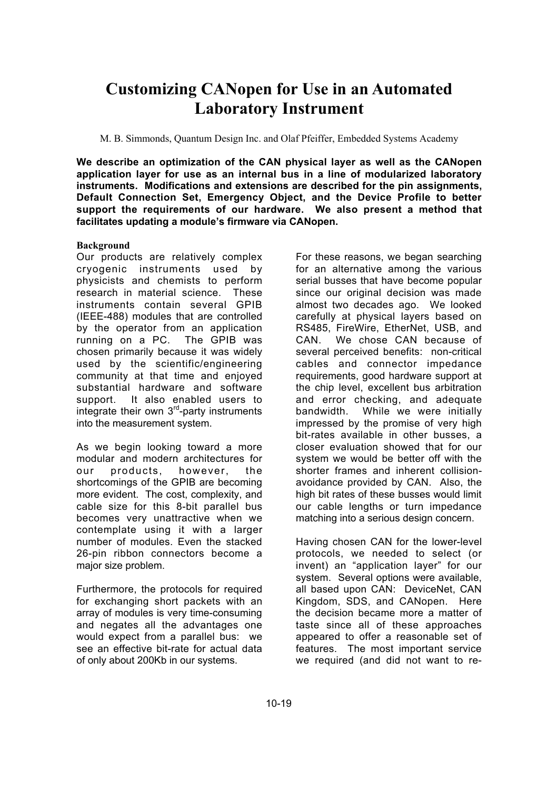# **Customizing CANopen for Use in an Automated Laboratory Instrument**

M. B. Simmonds, Quantum Design Inc. and Olaf Pfeiffer, Embedded Systems Academy

**We describe an optimization of the CAN physical layer as well as the CANopen application layer for use as an internal bus in a line of modularized laboratory instruments. Modifications and extensions are described for the pin assignments, Default Connection Set, Emergency Object, and the Device Profile to better support the requirements of our hardware. We also present a method that facilitates updating a module's firmware via CANopen.**

## **Background**

Our products are relatively complex cryogenic instruments used by physicists and chemists to perform research in material science. These instruments contain several GPIB (IEEE-488) modules that are controlled by the operator from an application running on a PC. The GPIB was chosen primarily because it was widely used by the scientific/engineering community at that time and enjoyed substantial hardware and software support. It also enabled users to integrate their own  $3<sup>rd</sup>$ -party instruments into the measurement system.

As we begin looking toward a more modular and modern architectures for our products, however, the shortcomings of the GPIB are becoming more evident. The cost, complexity, and cable size for this 8-bit parallel bus becomes very unattractive when we contemplate using it with a larger number of modules. Even the stacked 26-pin ribbon connectors become a major size problem.

Furthermore, the protocols for required for exchanging short packets with an array of modules is very time-consuming and negates all the advantages one would expect from a parallel bus: we see an effective bit-rate for actual data of only about 200Kb in our systems.

For these reasons, we began searching for an alternative among the various serial busses that have become popular since our original decision was made almost two decades ago. We looked carefully at physical layers based on RS485, FireWire, EtherNet, USB, and CAN. We chose CAN because of several perceived benefits: non-critical cables and connector impedance requirements, good hardware support at the chip level, excellent bus arbitration and error checking, and adequate bandwidth. While we were initially impressed by the promise of very high bit-rates available in other busses, a closer evaluation showed that for our system we would be better off with the shorter frames and inherent collisionavoidance provided by CAN. Also, the high bit rates of these busses would limit our cable lengths or turn impedance matching into a serious design concern.

Having chosen CAN for the lower-level protocols, we needed to select (or invent) an "application layer" for our system. Several options were available, all based upon CAN: DeviceNet, CAN Kingdom, SDS, and CANopen. Here the decision became more a matter of taste since all of these approaches appeared to offer a reasonable set of features. The most important service we required (and did not want to re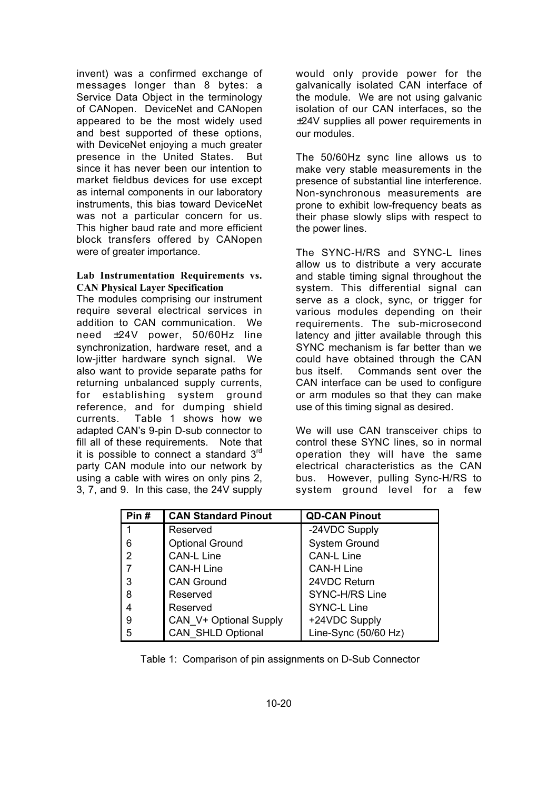invent) was a confirmed exchange of messages longer than 8 bytes: a Service Data Object in the terminology of CANopen. DeviceNet and CANopen appeared to be the most widely used and best supported of these options, with DeviceNet enjoying a much greater presence in the United States. But since it has never been our intention to market fieldbus devices for use except as internal components in our laboratory instruments, this bias toward DeviceNet was not a particular concern for us. This higher baud rate and more efficient block transfers offered by CANopen were of greater importance.

#### **Lab Instrumentation Requirements vs. CAN Physical Layer Specification**

The modules comprising our instrument require several electrical services in addition to CAN communication. We need ±24V power, 50/60Hz line synchronization, hardware reset, and a low-jitter hardware synch signal. We also want to provide separate paths for returning unbalanced supply currents, for establishing system ground reference, and for dumping shield currents. Table 1 shows how we adapted CAN's 9-pin D-sub connector to fill all of these requirements. Note that it is possible to connect a standard  $3<sup>rd</sup>$ party CAN module into our network by using a cable with wires on only pins 2, 3, 7, and 9. In this case, the 24V supply would only provide power for the galvanically isolated CAN interface of the module. We are not using galvanic isolation of our CAN interfaces, so the ±24V supplies all power requirements in our modules.

The 50/60Hz sync line allows us to make very stable measurements in the presence of substantial line interference. Non-synchronous measurements are prone to exhibit low-frequency beats as their phase slowly slips with respect to the power lines.

The SYNC-H/RS and SYNC-L lines allow us to distribute a very accurate and stable timing signal throughout the system. This differential signal can serve as a clock, sync, or trigger for various modules depending on their requirements. The sub-microsecond latency and jitter available through this SYNC mechanism is far better than we could have obtained through the CAN bus itself. Commands sent over the CAN interface can be used to configure or arm modules so that they can make use of this timing signal as desired.

We will use CAN transceiver chips to control these SYNC lines, so in normal operation they will have the same electrical characteristics as the CAN bus. However, pulling Sync-H/RS to system ground level for a few

| Pin# | <b>CAN Standard Pinout</b> | <b>QD-CAN Pinout</b>  |
|------|----------------------------|-----------------------|
| 1    | Reserved                   | -24VDC Supply         |
| 6    | <b>Optional Ground</b>     | <b>System Ground</b>  |
| 2    | <b>CAN-L Line</b>          | <b>CAN-L Line</b>     |
|      | <b>CAN-H Line</b>          | <b>CAN-H Line</b>     |
| 3    | <b>CAN Ground</b>          | 24VDC Return          |
| 8    | Reserved                   | <b>SYNC-H/RS Line</b> |
| 4    | Reserved                   | <b>SYNC-L Line</b>    |
| 9    | CAN V+ Optional Supply     | +24VDC Supply         |
| 5    | <b>CAN SHLD Optional</b>   | Line-Sync (50/60 Hz)  |

Table 1: Comparison of pin assignments on D-Sub Connector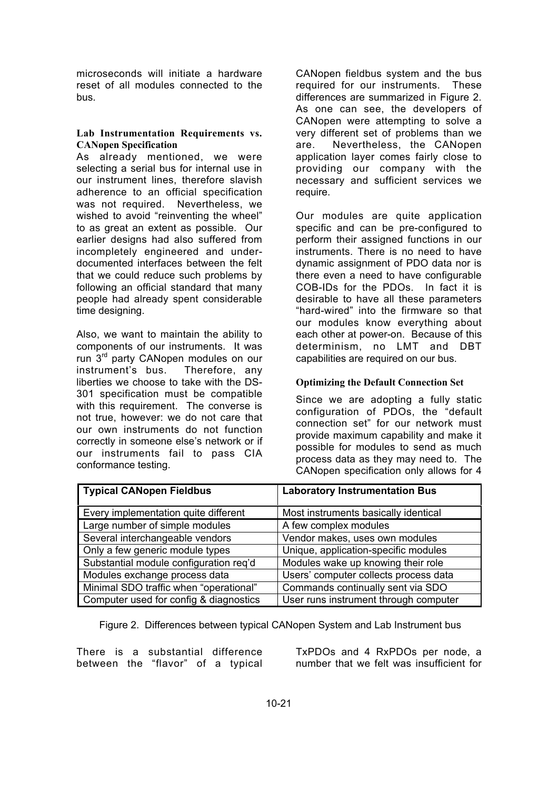microseconds will initiate a hardware reset of all modules connected to the bus.

## **Lab Instrumentation Requirements vs. CANopen Specification**

As already mentioned, we were selecting a serial bus for internal use in our instrument lines, therefore slavish adherence to an official specification was not required. Nevertheless, we wished to avoid "reinventing the wheel" to as great an extent as possible. Our earlier designs had also suffered from incompletely engineered and underdocumented interfaces between the felt that we could reduce such problems by following an official standard that many people had already spent considerable time designing.

Also, we want to maintain the ability to components of our instruments. It was run 3<sup>rd</sup> party CANopen modules on our instrument's bus. Therefore, any liberties we choose to take with the DS-301 specification must be compatible with this requirement. The converse is not true, however: we do not care that our own instruments do not function correctly in someone else's network or if our instruments fail to pass CIA conformance testing.

CANopen fieldbus system and the bus required for our instruments. These differences are summarized in Figure 2. As one can see, the developers of CANopen were attempting to solve a very different set of problems than we are. Nevertheless, the CANopen application layer comes fairly close to providing our company with the necessary and sufficient services we require.

Our modules are quite application specific and can be pre-configured to perform their assigned functions in our instruments. There is no need to have dynamic assignment of PDO data nor is there even a need to have configurable COB-IDs for the PDOs. In fact it is desirable to have all these parameters "hard-wired" into the firmware so that our modules know everything about each other at power-on. Because of this determinism, no LMT and DBT capabilities are required on our bus.

## **Optimizing the Default Connection Set**

Since we are adopting a fully static configuration of PDOs, the "default connection set" for our network must provide maximum capability and make it possible for modules to send as much process data as they may need to. The CANopen specification only allows for 4

| <b>Typical CANopen Fieldbus</b>        | <b>Laboratory Instrumentation Bus</b> |  |
|----------------------------------------|---------------------------------------|--|
| Every implementation quite different   | Most instruments basically identical  |  |
| Large number of simple modules         | A few complex modules                 |  |
| Several interchangeable vendors        | Vendor makes, uses own modules        |  |
| Only a few generic module types        | Unique, application-specific modules  |  |
| Substantial module configuration req'd | Modules wake up knowing their role    |  |
| Modules exchange process data          | Users' computer collects process data |  |
| Minimal SDO traffic when "operational" | Commands continually sent via SDO     |  |
| Computer used for config & diagnostics | User runs instrument through computer |  |

Figure 2. Differences between typical CANopen System and Lab Instrument bus

There is a substantial difference between the "flavor" of a typical TxPDOs and 4 RxPDOs per node, a number that we felt was insufficient for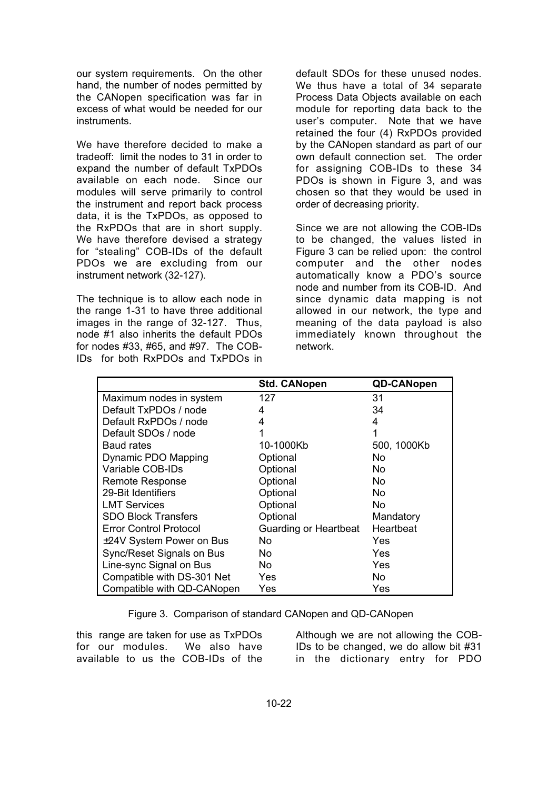our system requirements. On the other hand, the number of nodes permitted by the CANopen specification was far in excess of what would be needed for our instruments.

We have therefore decided to make a tradeoff: limit the nodes to 31 in order to expand the number of default TxPDOs available on each node. Since our modules will serve primarily to control the instrument and report back process data, it is the TxPDOs, as opposed to the RxPDOs that are in short supply. We have therefore devised a strategy for "stealing" COB-IDs of the default PDOs we are excluding from our instrument network (32-127).

The technique is to allow each node in the range 1-31 to have three additional images in the range of 32-127. Thus, node #1 also inherits the default PDOs for nodes #33, #65, and #97. The COB-IDs for both RxPDOs and TxPDOs in default SDOs for these unused nodes. We thus have a total of 34 separate Process Data Objects available on each module for reporting data back to the user's computer. Note that we have retained the four (4) RxPDOs provided by the CANopen standard as part of our own default connection set. The order for assigning COB-IDs to these 34 PDOs is shown in Figure 3, and was chosen so that they would be used in order of decreasing priority.

Since we are not allowing the COB-IDs to be changed, the values listed in Figure 3 can be relied upon: the control computer and the other nodes automatically know a PDO's source node and number from its COB-ID. And since dynamic data mapping is not allowed in our network, the type and meaning of the data payload is also immediately known throughout the network.

|                               | <b>Std. CANopen</b>   | <b>QD-CANopen</b> |
|-------------------------------|-----------------------|-------------------|
| Maximum nodes in system       | 127                   | 31                |
| Default TxPDOs / node         | 4                     | 34                |
| Default RxPDOs / node         | 4                     | 4                 |
| Default SDOs / node           |                       | 1                 |
| <b>Baud rates</b>             | 10-1000Kb             | 500, 1000Kb       |
| Dynamic PDO Mapping           | Optional              | No.               |
| Variable COB-IDs              | Optional              | No.               |
| <b>Remote Response</b>        | Optional              | No.               |
| 29-Bit Identifiers            | Optional              | No.               |
| <b>LMT Services</b>           | Optional              | No.               |
| <b>SDO Block Transfers</b>    | Optional              | Mandatory         |
| <b>Error Control Protocol</b> | Guarding or Heartbeat | Heartbeat         |
| ±24V System Power on Bus      | No.                   | Yes               |
| Sync/Reset Signals on Bus     | No.                   | Yes               |
| Line-sync Signal on Bus       | No.                   | Yes               |
| Compatible with DS-301 Net    | Yes                   | No.               |
| Compatible with QD-CANopen    | Yes                   | Yes               |

Figure 3. Comparison of standard CANopen and QD-CANopen

this range are taken for use as TxPDOs for our modules. We also have available to us the COB-IDs of the

Although we are not allowing the COB-IDs to be changed, we do allow bit #31 in the dictionary entry for PDO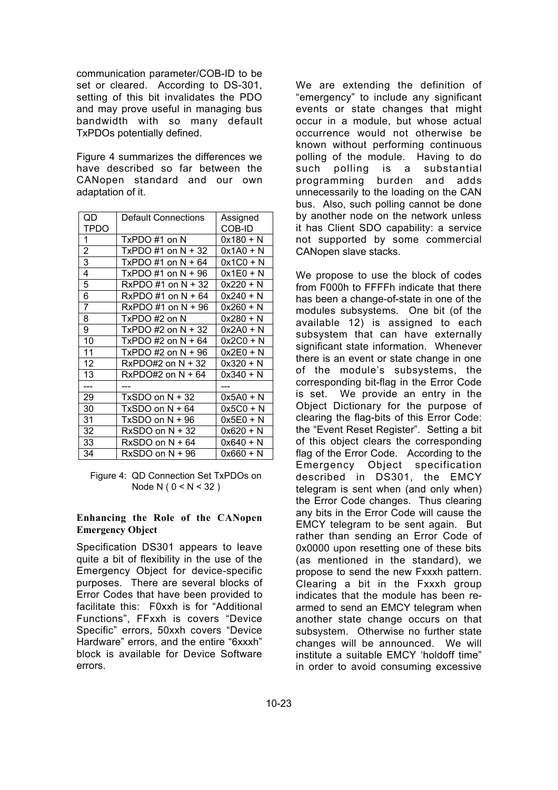communication parameter/COB-ID to be set or cleared. According to DS-301, setting of this bit invalidates the PDO and may prove useful in managing bus bandwidth with so many default TxPDOs potentially defined.

Figure 4 summarizes the differences we have described so far between the CANopen standard and our own adaptation of it.

| QD             | <b>Default Connections</b> | Assigned    |
|----------------|----------------------------|-------------|
| TPDO           |                            | COB-ID      |
| 1              | TxPDO #1 on N              | 0x180 + N   |
| 2              | $TxPDO #1 on N + 32$       | 0x1A0 + N   |
| 3              | $TxPDO #1 on N + 64$       | 0x1C0 + N   |
| 4              | $TxPDO #1 on N + 96$       | $0x1E0 + N$ |
| 5              | $RxPDO #1 on N + 32$       | 0x220 + N   |
| 6              | $RxPDO #1 on N + 64$       | 0x240 + N   |
| $\overline{7}$ | $RxPDO #1 on N + 96$       | 0x260 + N   |
| 8              | TxPDO #2 on N              | 0x280 + N   |
| 9              | $TxPDO #2 on N + 32$       | 0x2A0 + N   |
| 10             | TxPDO #2 on $N + 64$       | 0x2C0 + N   |
| 11             | TxPDO #2 on $N + 96$       | 0x2E0 + N   |
| 12             | $RxPDO#2$ on $N + 32$      | 0x320 + N   |
| 13             | RxPDO#2 on $N + 64$        | 0x340 + N   |
| ---            |                            |             |
| 29             | $TxSDO$ on $N + 32$        | 0x5A0 + N   |
| 30             | $TxSDO$ on $N + 64$        | 0x5C0 + N   |
| 31             | $TxSDO$ on $N + 96$        | 0x5E0 + N   |
| 32             | $RxSDO$ on $N + 32$        | 0x620 + N   |
| 33             | $RxSDO$ on $N + 64$        | 0x640 + N   |
| 34             | RxSDO on N + 96            | 0x660 + N   |

Figure 4: QD Connection Set TxPDOs on Node N (  $0 < N < 32$  )

## **Enhancing the Role of the CANopen Emergency Object**

Specification DS301 appears to leave quite a bit of flexibility in the use of the Emergency Object for device-specific purposes. There are several blocks of Error Codes that have been provided to facilitate this: F0xxh is for "Additional Functions", FFxxh is covers "Device Specific" errors, 50xxh covers "Device Hardware" errors, and the entire "6xxxh" block is available for Device Software errors.

We are extending the definition of "emergency" to include any significant events or state changes that might occur in a module, but whose actual occurrence would not otherwise be known without performing continuous polling of the module. Having to do such polling is a substantial programming burden and adds unnecessarily to the loading on the CAN bus. Also, such polling cannot be done by another node on the network unless it has Client SDO capability: a service not supported by some commercial CANopen slave stacks.

We propose to use the block of codes from F000h to FFFFh indicate that there has been a change-of-state in one of the modules subsystems. One bit (of the available 12) is assigned to each subsystem that can have externally significant state information. Whenever there is an event or state change in one of the module's subsystems, the corresponding bit-flag in the Error Code is set. We provide an entry in the Object Dictionary for the purpose of clearing the flag-bits of this Error Code: the "Event Reset Register". Setting a bit of this object clears the corresponding flag of the Error Code. According to the Emergency Object specification described in DS301, the EMCY telegram is sent when (and only when) the Error Code changes. Thus clearing any bits in the Error Code will cause the EMCY telegram to be sent again. But rather than sending an Error Code of 0x0000 upon resetting one of these bits (as mentioned in the standard), we propose to send the new Fxxxh pattern. Clearing a bit in the Fxxxh group indicates that the module has been rearmed to send an EMCY telegram when another state change occurs on that subsystem. Otherwise no further state changes will be announced. We will institute a suitable EMCY 'holdoff time" in order to avoid consuming excessive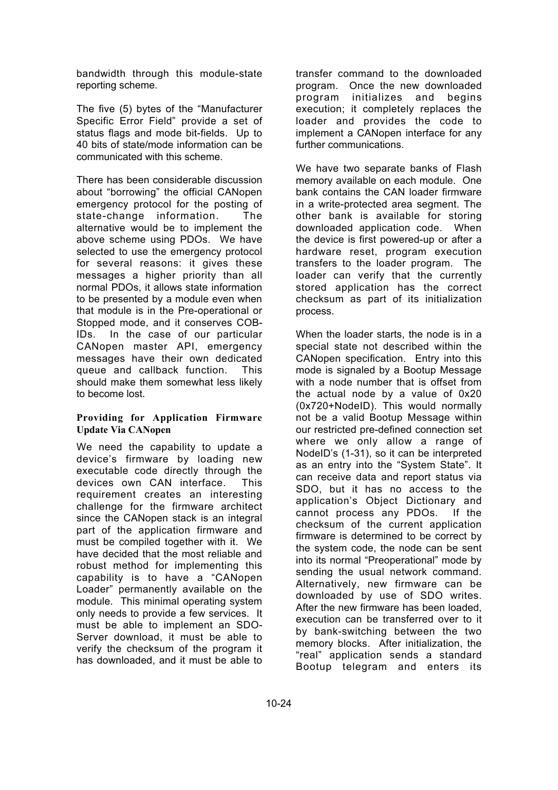bandwidth through this module-state reporting scheme.

The five (5) bytes of the "Manufacturer Specific Error Field" provide a set of status flags and mode bit-fields. Up to 40 bits of state/mode information can be communicated with this scheme.

There has been considerable discussion about "borrowing" the official CANopen emergency protocol for the posting of state-change information. The alternative would be to implement the above scheme using PDOs. We have selected to use the emergency protocol for several reasons: it gives these messages a higher priority than all normal PDOs, it allows state information to be presented by a module even when that module is in the Pre-operational or Stopped mode, and it conserves COB-IDs. In the case of our particular CANopen master API, emergency messages have their own dedicated queue and callback function. This should make them somewhat less likely to become lost.

## **Providing for Application Firmware Update Via CANopen**

We need the capability to update a device's firmware by loading new executable code directly through the devices own CAN interface. This requirement creates an interesting challenge for the firmware architect since the CANopen stack is an integral part of the application firmware and must be compiled together with it. We have decided that the most reliable and robust method for implementing this capability is to have a "CANopen Loader" permanently available on the module. This minimal operating system only needs to provide a few services. It must be able to implement an SDO-Server download, it must be able to verify the checksum of the program it has downloaded, and it must be able to

transfer command to the downloaded program. Once the new downloaded program initializes and begins execution; it completely replaces the loader and provides the code to implement a CANopen interface for any further communications.

We have two separate banks of Flash memory available on each module. One bank contains the CAN loader firmware in a write-protected area segment. The other bank is available for storing downloaded application code. When the device is first powered-up or after a hardware reset, program execution transfers to the loader program. The loader can verify that the currently stored application has the correct checksum as part of its initialization process.

When the loader starts, the node is in a special state not described within the CANopen specification. Entry into this mode is signaled by a Bootup Message with a node number that is offset from the actual node by a value of 0x20 (0x720+NodeID). This would normally not be a valid Bootup Message within our restricted pre-defined connection set where we only allow a range of NodeID's (1-31), so it can be interpreted as an entry into the "System State". It can receive data and report status via SDO, but it has no access to the application's Object Dictionary and cannot process any PDOs. If the checksum of the current application firmware is determined to be correct by the system code, the node can be sent into its normal "Preoperational" mode by sending the usual network command. Alternatively, new firmware can be downloaded by use of SDO writes. After the new firmware has been loaded, execution can be transferred over to it by bank-switching between the two memory blocks. After initialization, the "real" application sends a standard Bootup telegram and enters its